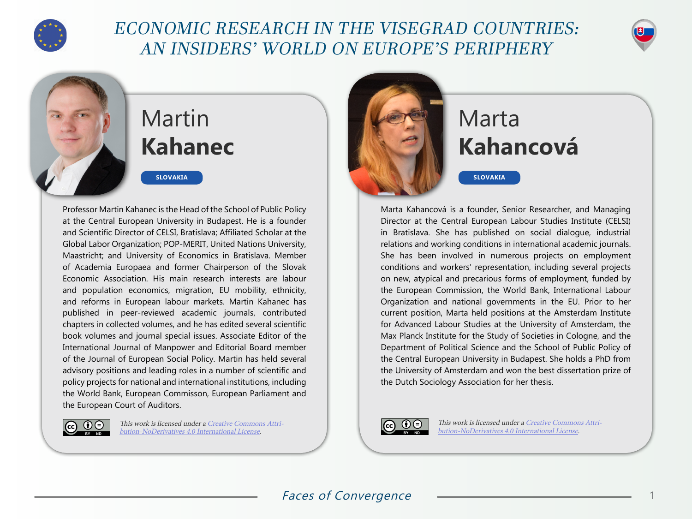

## ECONOMIC RESEARCH IN THE VISEGRAD COUNTRIES: AN INSIDERS' WORLD ON EUROPE'S PERIPHERY



## Martin **Kahanec**

## **SLOVAKIA**

Professor Martin Kahanec is the Head of the School of Public Policy at the Central European University in Budapest. He is a founder and Scientific Director of CELSI, Bratislava; Affiliated Scholar at the Global Labor Organization; POP-MERIT, United Nations University, Maastricht; and University of Economics in Bratislava. Member of Academia Europaea and former Chairperson of the Slovak Economic Association. His main research interests are labour and population economics, migration, EU mobility, ethnicity, and reforms in European labour markets. Martin Kahanec has published in peer-reviewed academic journals, contributed chapters in collected volumes, and he has edited several scientific book volumes and journal special issues. Associate Editor of the International Journal of Manpower and Editorial Board member of the Journal of European Social Policy. Martin has held several advisory positions and leading roles in a number of scientific and policy projects for national and international institutions, including the World Bank, European Commisson, European Parliament and the European Court of Auditors.



This work is licensed under a [Creative Commons Attri](https://creativecommons.org/licenses/by-nd/4.0/)[bution-NoDerivatives 4.0 International License](https://creativecommons.org/licenses/by-nd/4.0/).



## Marta **Kahancová**

**SLOVAKIA**

Marta Kahancová is a founder, Senior Researcher, and Managing Director at the Central European Labour Studies Institute (CELSI) in Bratislava. She has published on social dialogue, industrial relations and working conditions in international academic journals. She has been involved in numerous projects on employment conditions and workers' representation, including several projects on new, atypical and precarious forms of employment, funded by the European Commission, the World Bank, International Labour Organization and national governments in the EU. Prior to her current position, Marta held positions at the Amsterdam Institute for Advanced Labour Studies at the University of Amsterdam, the Max Planck Institute for the Study of Societies in Cologne, and the Department of Political Science and the School of Public Policy of the Central European University in Budapest. She holds a PhD from the University of Amsterdam and won the best dissertation prize of the Dutch Sociology Association for her thesis.



This work is licensed under a [Creative Commons Attri](https://creativecommons.org/licenses/by-nd/4.0/)[bution-NoDerivatives 4.0 International License](https://creativecommons.org/licenses/by-nd/4.0/).

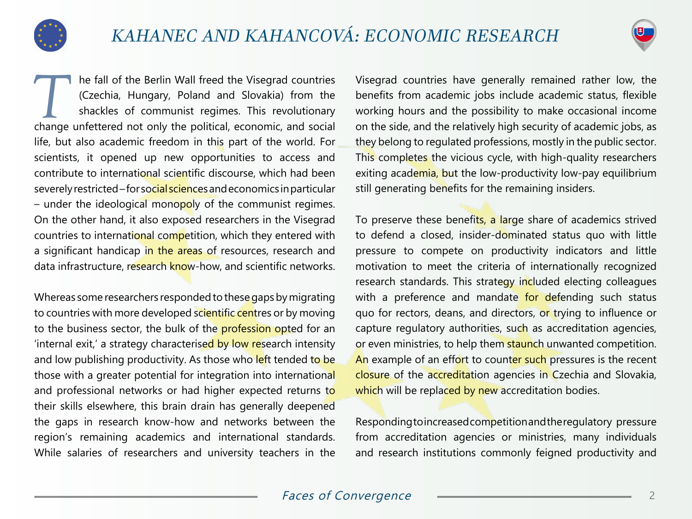

**TALL TANK ISSUE IS A health of the Berlin Wall freed the Visegrad countries**<br>
(Czechia, Hungary, Poland and Slovakia) from the<br>
shackles of communist regimes. This revolutionary<br>
change unfettered not only the political, (Czechia, Hungary, Poland and Slovakia) from the shackles of communist regimes. This revolutionary life, but also academic freedom in this part of the world. For scientists, it opened up new opportunities to access and contribute to international scientific discourse, which had been severely restricted – for social sciences and economics in particular – under the ideological monopoly of the communist regimes. On the other hand, it also exposed researchers in the Visegrad countries to international competition, which they entered with a significant handicap in the areas of resources, research and data infrastructure, research know-how, and scientific networks.

Whereas some researchers responded to these gaps by migrating to countries with more developed scientific centres or by moving to the business sector, the bulk of the profession opted for an 'internal exit,' a strategy characterised by low research intensity and low publishing productivity. As those who left tended to be those with a greater potential for integration into international and professional networks or had higher expected returns to their skills elsewhere, this brain drain has generally deepened the gaps in research know-how and networks between the region's remaining academics and international standards. While salaries of researchers and university teachers in the

Visegrad countries have generally remained rather low, the benefits from academic jobs include academic status, flexible working hours and the possibility to make occasional income on the side, and the relatively high security of academic jobs, as they belong to regulated professions, mostly in the public sector. This completes the vicious cycle, with high-quality researchers exiting academia, but the low-productivity low-pay equilibrium still generating benefits for the remaining insiders.

To preserve these benefits, a large share of academics strived to defend a closed, insider-dominated status quo with little pressure to compete on productivity indicators and little motivation to meet the criteria of internationally recognized research standards. This strategy included electing colleagues with a preference and mandate for defending such status quo for rectors, deans, and directors, or trying to influence or capture regulatory authorities, such as accreditation agencies, or even ministries, to help them staunch unwanted competition. An example of an effort to counter such pressures is the recent closure of the accreditation agencies in Czechia and Slovakia, which will be replaced by new accreditation bodies.

Responding to increased competition and the regulatory pressure from accreditation agencies or ministries, many individuals and research institutions commonly feigned productivity and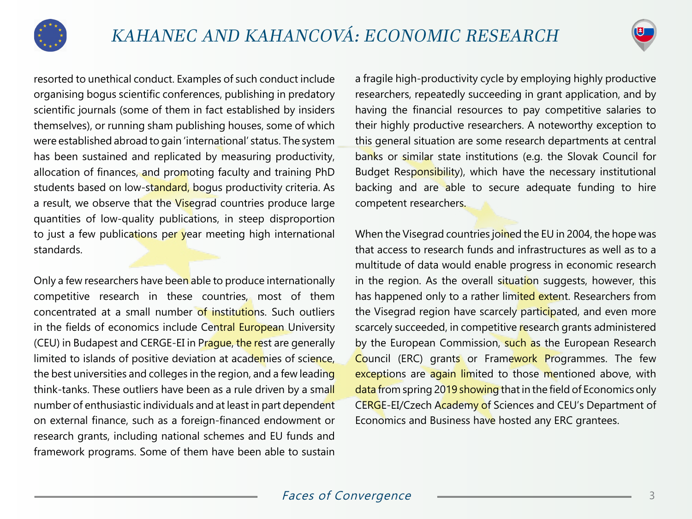

resorted to unethical conduct. Examples of such conduct include organising bogus scientific conferences, publishing in predatory scientific journals (some of them in fact established by insiders themselves), or running sham publishing houses, some of which were established abroad to gain 'international' status. The system has been sustained and replicated by measuring productivity, allocation of finances, and promoting faculty and training PhD students based on low-standard, bogus productivity criteria. As a result, we observe that the Visegrad countries produce large quantities of low-quality publications, in steep disproportion to just a few publications per year meeting high international standards.

Only a few researchers have been able to produce internationally competitive research in these countries, most of them concentrated at a small number of institutions. Such outliers in the fields of economics include Central European University (CEU) in Budapest and CERGE-EI in Prague, the rest are generally limited to islands of positive deviation at academies of science, the best universities and colleges in the region, and a few leading think-tanks. These outliers have been as a rule driven by a small number of enthusiastic individuals and at least in part dependent on external finance, such as a foreign-financed endowment or research grants, including national schemes and EU funds and framework programs. Some of them have been able to sustain

a fragile high-productivity cycle by employing highly productive researchers, repeatedly succeeding in grant application, and by having the financial resources to pay competitive salaries to their highly productive researchers. A noteworthy exception to this general situation are some research departments at central banks or similar state institutions (e.g. the Slovak Council for Budget Responsibility), which have the necessary institutional backing and are able to secure adequate funding to hire competent researchers.

When the Visegrad countries joined the EU in 2004, the hope was that access to research funds and infrastructures as well as to a multitude of data would enable progress in economic research in the region. As the overall situation suggests, however, this has happened only to a rather limited extent. Researchers from the Visegrad region have scarcely participated, and even more scarcely succeeded, in competitive research grants administered by the European Commission, such as the European Research Council (ERC) grants or Framework Programmes. The few exceptions are again limited to those mentioned above, with data from spring 2019 showing that in the field of Economics only CERGE-EI/Czech Academy of Sciences and CEU's Department of Economics and Business have hosted any ERC grantees.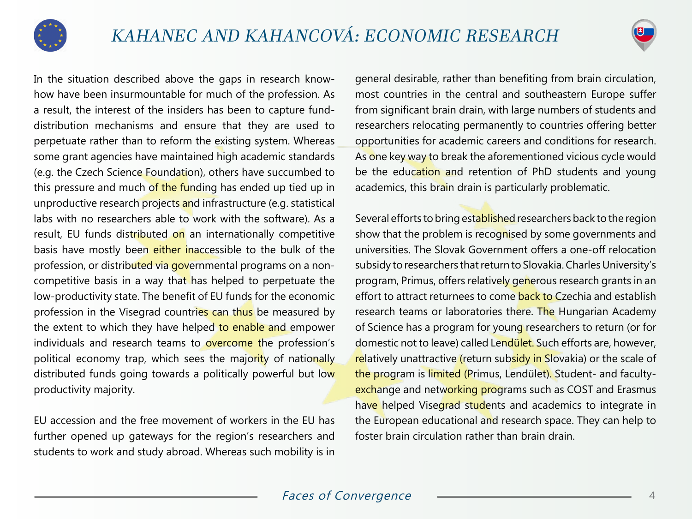

In the situation described above the gaps in research knowhow have been insurmountable for much of the profession. As a result, the interest of the insiders has been to capture funddistribution mechanisms and ensure that they are used to perpetuate rather than to reform the existing system. Whereas some grant agencies have maintained high academic standards (e.g. the Czech Science Foundation), others have succumbed to this pressure and much of the funding has ended up tied up in unproductive research projects and infrastructure (e.g. statistical labs with no researchers able to work with the software). As a result, EU funds distributed on an internationally competitive basis have mostly been either inaccessible to the bulk of the profession, or distributed via governmental programs on a noncompetitive basis in a way that has helped to perpetuate the low-productivity state. The benefit of EU funds for the economic profession in the Visegrad countries can thus be measured by the extent to which they have helped to enable and empower individuals and research teams to overcome the profession's political economy trap, which sees the majority of nationally distributed funds going towards a politically powerful but low productivity majority.

EU accession and the free movement of workers in the EU has further opened up gateways for the region's researchers and students to work and study abroad. Whereas such mobility is in

general desirable, rather than benefiting from brain circulation, most countries in the central and southeastern Europe suffer from significant brain drain, with large numbers of students and researchers relocating permanently to countries offering better opportunities for academic careers and conditions for research. As one key way to break the aforementioned vicious cycle would be the education and retention of PhD students and young academics, this brain drain is particularly problematic.

Several efforts to bring established researchers back to the region show that the problem is recognised by some governments and universities. The Slovak Government offers a one-off relocation subsidy to researchers that return to Slovakia. Charles University's program, Primus, offers relatively generous research grants in an effort to attract returnees to come back to Czechia and establish research teams or laboratories there. The Hungarian Academy of Science has a program for young researchers to return (or for domestic not to leave) called Lendület. Such efforts are, however, relatively unattractive (return subsidy in Slovakia) or the scale of the program is limited (Primus, Lendület). Student- and facultyexchange and networking programs such as COST and Erasmus have helped Visegrad students and academics to integrate in the European educational and research space. They can help to foster brain circulation rather than brain drain.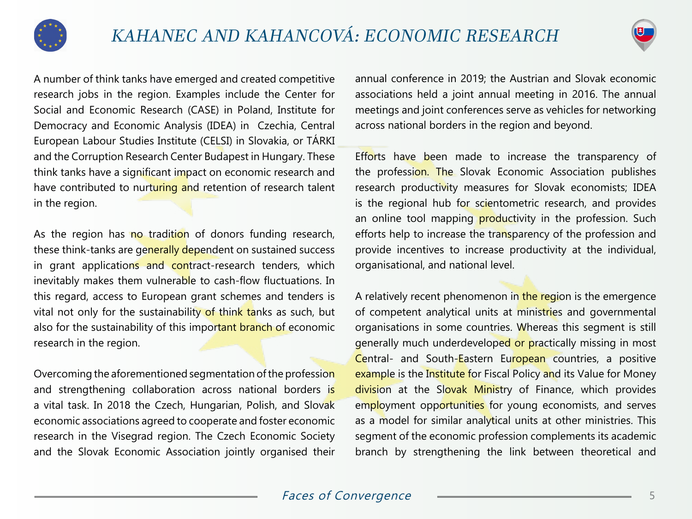



A number of think tanks have emerged and created competitive research jobs in the region. Examples include the Center for Social and Economic Research (CASE) in Poland, Institute for Democracy and Economic Analysis (IDEA) in Czechia, Central European Labour Studies Institute (CELSI) in Slovakia, or TÁRKI and the Corruption Research Center Budapest in Hungary. These think tanks have a significant impact on economic research and have contributed to nurturing and retention of research talent in the region.

As the region has no tradition of donors funding research, these think-tanks are generally dependent on sustained success in grant applications and contract-research tenders, which inevitably makes them vulnerable to cash-flow fluctuations. In this regard, access to European grant schemes and tenders is vital not only for the sustainability of think tanks as such, but also for the sustainability of this important branch of economic research in the region.

Overcoming the aforementioned segmentation of the profession and strengthening collaboration across national borders is a vital task. In 2018 the Czech, Hungarian, Polish, and Slovak economic associations agreed to cooperate and foster economic research in the Visegrad region. The Czech Economic Society and the Slovak Economic Association jointly organised their annual conference in 2019; the Austrian and Slovak economic associations held a joint annual meeting in 2016. The annual meetings and joint conferences serve as vehicles for networking across national borders in the region and beyond.

Efforts have been made to increase the transparency of the profession. The Slovak Economic Association publishes research productivity measures for Slovak economists; IDEA is the regional hub for scientometric research, and provides an online tool mapping productivity in the profession. Such efforts help to increase the transparency of the profession and provide incentives to increase productivity at the individual, organisational, and national level.

A relatively recent phenomenon in the region is the emergence of competent analytical units at ministries and governmental organisations in some countries. Whereas this segment is still generally much underdeveloped or practically missing in most Central- and South-Eastern European countries, a positive example is the Institute for Fiscal Policy and its Value for Money division at the Slovak Ministry of Finance, which provides employment opportunities for young economists, and serves as a model for similar analytical units at other ministries. This segment of the economic profession complements its academic branch by strengthening the link between theoretical and